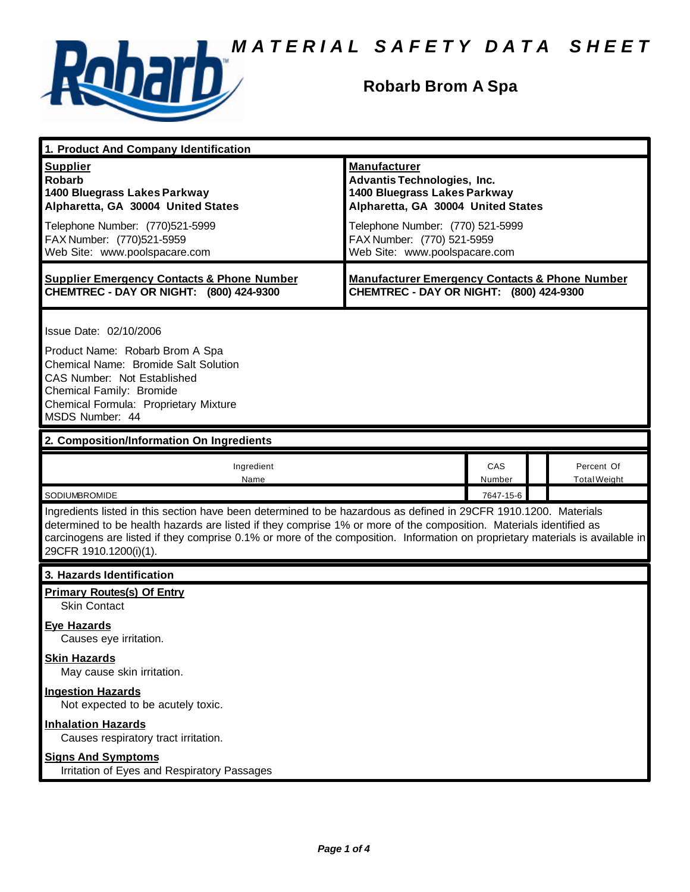

#### **Robarb Brom A Spa**

| 1. Product And Company Identification                                                                                                                                                                                                                                                                                                                                                             |                                                                                                                                                                                                                                    |               |  |                                   |  |
|---------------------------------------------------------------------------------------------------------------------------------------------------------------------------------------------------------------------------------------------------------------------------------------------------------------------------------------------------------------------------------------------------|------------------------------------------------------------------------------------------------------------------------------------------------------------------------------------------------------------------------------------|---------------|--|-----------------------------------|--|
| <b>Supplier</b><br><b>Robarb</b><br>1400 Bluegrass Lakes Parkway<br>Alpharetta, GA 30004 United States<br>Telephone Number: (770)521-5999<br>FAX Number: (770)521-5959<br>Web Site: www.poolspacare.com                                                                                                                                                                                           | <b>Manufacturer</b><br><b>Advantis Technologies, Inc.</b><br>1400 Bluegrass Lakes Parkway<br>Alpharetta, GA 30004 United States<br>Telephone Number: (770) 521-5999<br>FAX Number: (770) 521-5959<br>Web Site: www.poolspacare.com |               |  |                                   |  |
| <b>Supplier Emergency Contacts &amp; Phone Number</b><br>CHEMTREC - DAY OR NIGHT: (800) 424-9300                                                                                                                                                                                                                                                                                                  | <b>Manufacturer Emergency Contacts &amp; Phone Number</b><br>CHEMTREC - DAY OR NIGHT: (800) 424-9300                                                                                                                               |               |  |                                   |  |
| Issue Date: 02/10/2006<br>Product Name: Robarb Brom A Spa<br>Chemical Name: Bromide Salt Solution<br>CAS Number: Not Established<br>Chemical Family: Bromide<br>Chemical Formula: Proprietary Mixture<br>MSDS Number: 44                                                                                                                                                                          |                                                                                                                                                                                                                                    |               |  |                                   |  |
| 2. Composition/Information On Ingredients                                                                                                                                                                                                                                                                                                                                                         |                                                                                                                                                                                                                                    |               |  |                                   |  |
| Ingredient<br>Name                                                                                                                                                                                                                                                                                                                                                                                |                                                                                                                                                                                                                                    | CAS<br>Number |  | Percent Of<br><b>Total Weight</b> |  |
| <b>SODIUMBROMIDE</b>                                                                                                                                                                                                                                                                                                                                                                              |                                                                                                                                                                                                                                    | 7647-15-6     |  |                                   |  |
| Ingredients listed in this section have been determined to be hazardous as defined in 29CFR 1910.1200. Materials<br>determined to be health hazards are listed if they comprise 1% or more of the composition. Materials identified as<br>carcinogens are listed if they comprise 0.1% or more of the composition. Information on proprietary materials is available in<br>29CFR 1910.1200(i)(1). |                                                                                                                                                                                                                                    |               |  |                                   |  |
| 3. Hazards Identification                                                                                                                                                                                                                                                                                                                                                                         |                                                                                                                                                                                                                                    |               |  |                                   |  |
| <b>Primary Routes(s) Of Entry</b><br><b>Skin Contact</b><br><b>Eye Hazards</b>                                                                                                                                                                                                                                                                                                                    |                                                                                                                                                                                                                                    |               |  |                                   |  |
| Causes eve irritation.<br><b>Skin Hazards</b><br>May cause skin irritation.                                                                                                                                                                                                                                                                                                                       |                                                                                                                                                                                                                                    |               |  |                                   |  |
| <b>Ingestion Hazards</b><br>Not expected to be acutely toxic.                                                                                                                                                                                                                                                                                                                                     |                                                                                                                                                                                                                                    |               |  |                                   |  |
| <b>Inhalation Hazards</b><br>Causes respiratory tract irritation.                                                                                                                                                                                                                                                                                                                                 |                                                                                                                                                                                                                                    |               |  |                                   |  |
| <b>Signs And Symptoms</b><br>Irritation of Eyes and Respiratory Passages                                                                                                                                                                                                                                                                                                                          |                                                                                                                                                                                                                                    |               |  |                                   |  |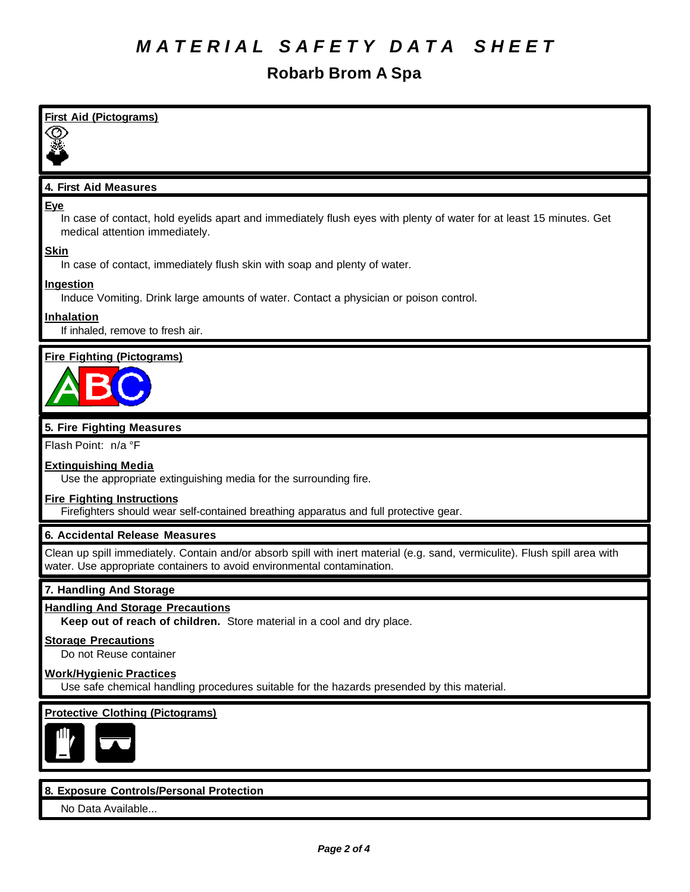#### **Robarb Brom A Spa**

| <b>First Aid (Pictograms)</b>                                                                                                                                                                          |
|--------------------------------------------------------------------------------------------------------------------------------------------------------------------------------------------------------|
| 4. First Aid Measures                                                                                                                                                                                  |
| <b>Eye</b><br>In case of contact, hold eyelids apart and immediately flush eyes with plenty of water for at least 15 minutes. Get<br>medical attention immediately.                                    |
| <b>Skin</b><br>In case of contact, immediately flush skin with soap and plenty of water.                                                                                                               |
| <b>Ingestion</b><br>Induce Vomiting. Drink large amounts of water. Contact a physician or poison control.                                                                                              |
| <b>Inhalation</b><br>If inhaled, remove to fresh air.                                                                                                                                                  |
| <b>Fire Fighting (Pictograms)</b>                                                                                                                                                                      |
| 5. Fire Fighting Measures                                                                                                                                                                              |
| Flash Point: n/a °F                                                                                                                                                                                    |
| <b>Extinguishing Media</b><br>Use the appropriate extinguishing media for the surrounding fire.                                                                                                        |
| <b>Fire Fighting Instructions</b><br>Firefighters should wear self-contained breathing apparatus and full protective gear.                                                                             |
| <b>6. Accidental Release Measures</b>                                                                                                                                                                  |
| Clean up spill immediately. Contain and/or absorb spill with inert material (e.g. sand, vermiculite). Flush spill area with<br>water. Use appropriate containers to avoid environmental contamination. |
| 7. Handling And Storage                                                                                                                                                                                |
| <b>Handling And Storage Precautions</b><br>Keep out of reach of children. Store material in a cool and dry place.                                                                                      |
| <b>Storage Precautions</b><br>Do not Reuse container                                                                                                                                                   |
| <b>Work/Hygienic Practices</b><br>Use safe chemical handling procedures suitable for the hazards presended by this material.                                                                           |
| <b>Protective Clothing (Pictograms)</b>                                                                                                                                                                |
| 8. Exposure Controls/Personal Protection                                                                                                                                                               |

No Data Available...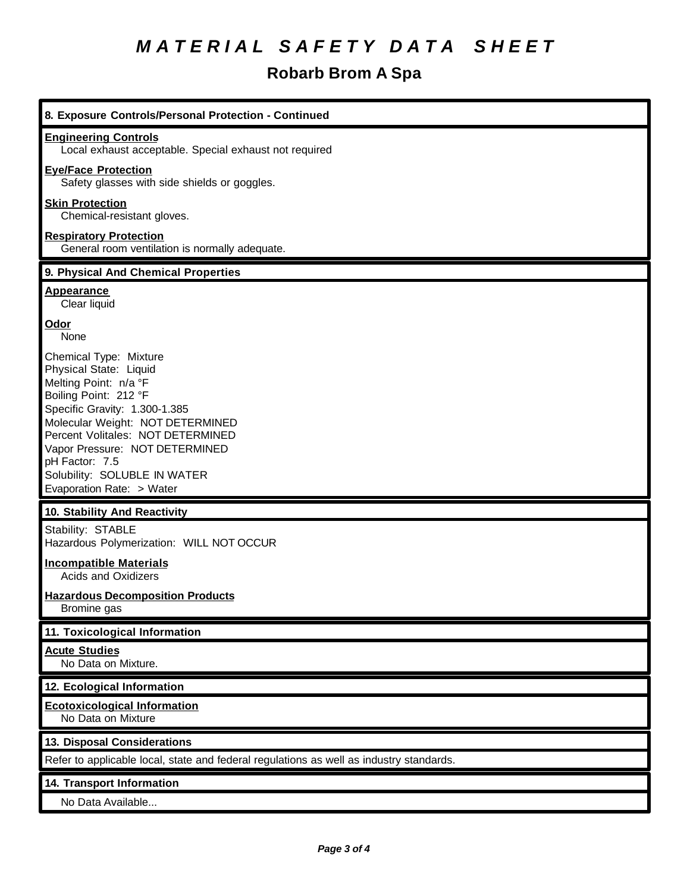## **Robarb Brom A Spa**

| 8. Exposure Controls/Personal Protection - Continued                                                                                                                                                                                                                                                                          |
|-------------------------------------------------------------------------------------------------------------------------------------------------------------------------------------------------------------------------------------------------------------------------------------------------------------------------------|
| <b>Engineering Controls</b><br>Local exhaust acceptable. Special exhaust not required                                                                                                                                                                                                                                         |
| <b>Eye/Face Protection</b><br>Safety glasses with side shields or goggles.                                                                                                                                                                                                                                                    |
| <b>Skin Protection</b><br>Chemical-resistant gloves.                                                                                                                                                                                                                                                                          |
| <b>Respiratory Protection</b><br>General room ventilation is normally adequate.                                                                                                                                                                                                                                               |
| 9. Physical And Chemical Properties                                                                                                                                                                                                                                                                                           |
| <b>Appearance</b><br>Clear liquid                                                                                                                                                                                                                                                                                             |
| Odor<br>None                                                                                                                                                                                                                                                                                                                  |
| Chemical Type: Mixture<br>Physical State: Liquid<br>Melting Point: n/a °F<br>Boiling Point: 212 °F<br>Specific Gravity: 1.300-1.385<br>Molecular Weight: NOT DETERMINED<br>Percent Volitales: NOT DETERMINED<br>Vapor Pressure: NOT DETERMINED<br>pH Factor: 7.5<br>Solubility: SOLUBLE IN WATER<br>Evaporation Rate: > Water |
| 10. Stability And Reactivity                                                                                                                                                                                                                                                                                                  |
| Stability: STABLE<br>Hazardous Polymerization: WILL NOT OCCUR                                                                                                                                                                                                                                                                 |
| <b>Incompatible Materials</b><br><b>Acids and Oxidizers</b>                                                                                                                                                                                                                                                                   |
| <b>Hazardous Decomposition Products</b><br>Bromine gas                                                                                                                                                                                                                                                                        |
| 11. Toxicological Information                                                                                                                                                                                                                                                                                                 |
| <b>Acute Studies</b><br>No Data on Mixture.                                                                                                                                                                                                                                                                                   |
| 12. Ecological Information                                                                                                                                                                                                                                                                                                    |
| <b>Ecotoxicological Information</b><br>No Data on Mixture                                                                                                                                                                                                                                                                     |
| 13. Disposal Considerations                                                                                                                                                                                                                                                                                                   |
| Refer to applicable local, state and federal regulations as well as industry standards.                                                                                                                                                                                                                                       |
| 14. Transport Information<br>No Data Available                                                                                                                                                                                                                                                                                |